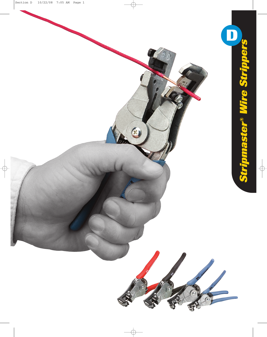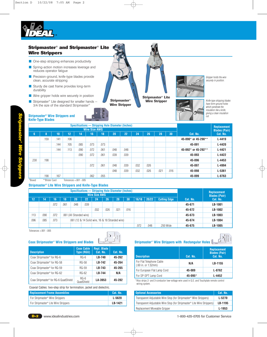

# **Stripmaster® and Stripmaster® Lite Wire Strippers**

- One-step stripping enhances productivity
- Spring-action motion increases leverage and reduces operator fatigue
- Precision-ground, knife-type blades provide clean, accurate stripping
- Sturdy die cast frame provides long-term durability
- Wire gripper holds wire securely in position
- Stripmaster<sup>®</sup> Lite designed for smaller hands 3/4 the size of the standard Stripmaster®

**Stripmaster® Wire Strippers and Knife-Type Blades**



**Stripmaster® Lite Wire Stripper**

**HUMILION** 





Knife-type stripping blades have form-ground holes which penetrate the

securely in position.

|                |                |      |      | Specifications - Stripping Hole Diameter (Inches) |      |      |                      |      |      |      |      |      |                     | Replacement |
|----------------|----------------|------|------|---------------------------------------------------|------|------|----------------------|------|------|------|------|------|---------------------|-------------|
|                |                |      |      | <b>Wire Size AWG</b>                              |      |      | <b>Blades (Pair)</b> |      |      |      |      |      |                     |             |
| 6 <sup>5</sup> | n<br>ō         | 10   | 12   | 14                                                | 16'  | 18   | 20                   | 22   | 24   | 26   | 28   | 30   | Cat. No.            | Cat. No.    |
|                | .159           | .141 | .106 |                                                   |      |      |                      |      |      |      |      |      | 45-090* or 45-290** | $L - 4419$  |
|                |                | .144 | .105 | .085                                              | .073 | .073 |                      |      |      |      |      |      | 45-091              | $L - 4420$  |
|                |                | .144 | .113 | .090                                              | .072 | .061 | .048                 | .048 |      |      |      |      | 45-092* or 45-292** | $L - 4421$  |
|                |                |      |      | .090                                              | .072 | .061 | .039                 | .039 |      |      |      |      | 45-093              | $L - 4422$  |
| .230           | .198           |      |      |                                                   |      |      |                      |      |      |      |      |      | 45-096              | $L - 4453$  |
|                |                |      |      |                                                   | .072 | .061 | .048                 | .039 | .032 | .026 |      |      | 45-097              | L-4994      |
|                |                |      |      |                                                   |      |      | .048                 | .039 | .032 | .026 | .021 | .016 | 45-098              | $L - 5361$  |
|                | .198           | .167 |      |                                                   | .062 | .055 |                      |      |      |      |      |      | 45-099              | $L - 8763$  |
| *Boxed         | **Blister Card |      |      | Tolerances $+.001-.005$                           |      |      |                      |      |      |      |      |      |                     |             |

## **Stripmaster ® Lite Wire Strippers and Knife-Type Blades**

|      |                                                                  |      |      | Specifications — Stripping Hole Diameter (Inches) |                     |                      | Replacement |      |      |  |  |  |        |                      |
|------|------------------------------------------------------------------|------|------|---------------------------------------------------|---------------------|----------------------|-------------|------|------|--|--|--|--------|----------------------|
|      |                                                                  |      |      |                                                   |                     | <b>Wire Size AWG</b> |             |      |      |  |  |  |        | <b>Blades (Pair)</b> |
| 12   | 14                                                               | 16   | 18   | 20                                                | <b>Cutting Edge</b> | Cat. No.             | Cat. No.    |      |      |  |  |  |        |                      |
|      |                                                                  | .072 | .061 | .048                                              | .039                |                      |             |      |      |  |  |  | 45-671 | LB-1001              |
|      |                                                                  |      |      |                                                   |                     | .032                 | .026        | .021 | .016 |  |  |  | 45-672 | LB-1002              |
| .113 | .090                                                             | .072 |      | .061 (All Stranded wire)                          |                     |                      |             |      |      |  |  |  | 45-673 | LB-1003              |
| .096 | .085<br>.073<br>.061 (12 & 14 Solid wire, 16 & 18 Stranded wire) |      |      |                                                   |                     |                      |             |      |      |  |  |  | 45-674 | LB-1004              |
|      | .072<br>048<br>.250 Wide                                         |      |      |                                                   |                     |                      |             |      |      |  |  |  |        | LB-1005              |

Tolerances +.001 -.005

| <b>Description</b>                                | <b>Coax Cable</b><br><b>Type (RGU)</b> | Repl. Blade<br>Cat. No. | Cat. No. |
|---------------------------------------------------|----------------------------------------|-------------------------|----------|
| Coax Stripmaster <sup>®</sup> for RG-6            | $RG-6$                                 | <b>LB-740</b>           | 45-262   |
| Coax Stripmaster <sup>®</sup> for RG-58           | RG-58                                  | LB-742                  | 45-264   |
| Coax Stripmaster <sup>®</sup> for RG-59           | RG-59                                  | LB-743                  | 45-265   |
| Coax Stripmaster <sup>®</sup> for RG-62           | RG-62                                  | LB-744                  | N/A      |
| Coax Stripmaster <sup>®</sup> for RG-6 QuadShield | $RG-6$<br>QuadShield                   | LA-3953                 | 45-282   |

Coaxial Cables: two-step strip for termination, jacket and dielectric.

| <b>Replacement Frame Assemblies</b>              | Cat. No. |
|--------------------------------------------------|----------|
| For Stripmaster <sup>®</sup> Wire Strippers      | L-5620   |
| For Stripmaster <sup>®</sup> Lite Wire Strippers | LB-1421  |

# **Coax Stripmaster® Wire Strippers and Blades Stripmaster® Wire Strippers with Rectangular Holes**



| <b>Description</b>                                                 | Cat. No. | <b>Replacement</b><br><b>Blades (Pair)</b><br>Cat. No. |
|--------------------------------------------------------------------|----------|--------------------------------------------------------|
| For Flat Telephone Cable<br>$(.60 \text{ in. or } 1.52 \text{mm})$ | N/A      | LB-1155                                                |
| For European Flat Lamp Cord                                        | 45-089   | L-8762                                                 |
| For SP-SPT Lamp Cord                                               | 45-095*  | $L - 4452$                                             |

\*Also strips 2- and 3-conductor low-voltage wire used in G.E. and Touchplate remote control wiring system.

| <b>Optional Accessories</b>                                                         | Cat. No. |
|-------------------------------------------------------------------------------------|----------|
| Transparent Adjustable Wire Stop (for Stripmaster® Wire Strippers)                  | L-5270   |
| Transparent Adjustable Wire Stop (for Stripmaster <sup>®</sup> Lite Wire Strippers) | LB-1195  |
| Replacement Moveable Gripper                                                        | $L-1953$ |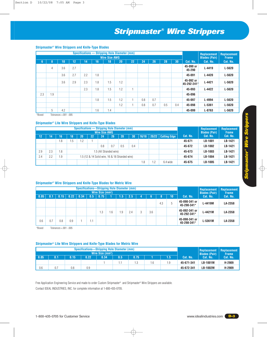# *Stripmaster® Wire Strippers*

### **Stripmaster® Wire Strippers and Knife-Type Blades**

|               |          |                |     |     | Specifications - Stripping Hole Diameter (mm) |                      |     |    |     |     |     |     |                          | Replacement          | <b>Replacement</b> |
|---------------|----------|----------------|-----|-----|-----------------------------------------------|----------------------|-----|----|-----|-----|-----|-----|--------------------------|----------------------|--------------------|
|               |          |                |     |     |                                               | <b>Wire Size AWG</b> |     |    |     |     |     |     |                          | <b>Blades (Pair)</b> | <b>Frame</b>       |
| 6,            | 8        | 10             | 12  | 14  | 16'                                           | $\overline{18}$      | 20  | 22 | 24  | 26  | 28  | 30  | Cat. No.                 | Cat. No.             | Cat. No.           |
|               | 4        | 3.6            | 2.7 |     |                                               |                      |     |    |     |     |     |     | 45-090 or<br>45-290      | $L - 4419$           | $L - 5620$         |
|               |          | 3.6            | 2.7 | 2.2 | 1.8                                           |                      |     |    |     |     |     |     | 45-091                   | $L - 4420$           | $L - 5620$         |
|               |          | 3.6            | 2.9 | 2.3 | 1.8                                           | 1.5                  | 1.2 |    |     |     |     |     | 45-092 or<br>45-292-241* | $L - 4421$           | $L - 5620$         |
|               |          |                |     | 2.3 | 1.8                                           | 1.5                  | 1.2 |    |     |     |     |     | 45-093                   | $L - 4422$           | $L - 5620$         |
| 2.3           | 1.9      |                |     |     |                                               |                      |     |    |     |     |     |     | 45-096                   |                      |                    |
|               |          |                |     |     | 1.8                                           | 1.5                  | 1.2 |    | 0.8 | 0.7 |     |     | 45-097                   | L-4994               | $L - 5620$         |
|               |          |                |     |     |                                               |                      | 1.2 |    | 0.8 | 0.7 | 0.5 | 0.4 | 45-098                   | $L - 5361$           | $L - 5620$         |
| $\sim$ $   -$ | 5<br>- - | 4.2<br>------- |     |     | 1.6                                           | 1.4                  |     |    |     |     |     |     | 45-099                   | $L - 8763$           | $L - 5620$         |

\*Boxed Tolerances +.001 -.005

### **Stripmaster® Lite Wire Strippers and Knife-Type Blades**

|     |                                                               |     |     |         | <b>Specifications - Stripping Hole Diameter (mm)</b> |                      |                         | Replacement | Replacement |                     |          |          |          |                      |              |
|-----|---------------------------------------------------------------|-----|-----|---------|------------------------------------------------------|----------------------|-------------------------|-------------|-------------|---------------------|----------|----------|----------|----------------------|--------------|
|     |                                                               |     |     |         |                                                      | <b>Wire Size AWG</b> |                         | 28          | 30          |                     |          |          |          | <b>Blades (Pair)</b> | <b>Frame</b> |
| 12  | 14                                                            | 16  | 18  | 20      | 22                                                   | 24                   | 26                      | 16/18       | 20/22       | <b>Cutting Edge</b> | Cat. No. | Cat. No. | Cat. No. |                      |              |
|     |                                                               | 1.8 | 1.5 | $\cdot$ |                                                      |                      |                         |             |             |                     |          |          | 45-671   | LB-1001              | LB-1421      |
|     |                                                               |     |     |         |                                                      | 0.8                  | 0.7                     | 0.5         | 0.4         |                     |          |          | 45-672   | LB-1002              | LB-1421      |
| 2.9 | 2.3                                                           | 1.8 |     |         |                                                      |                      | 1.5 (All Stranded wire) |             |             |                     |          |          | 45-673   | LB-1003              | LB-1421      |
| 2.4 | 1.9<br>2.2<br>1.5 (12 & 14 Solid wire, 16 & 18 Stranded wire) |     |     |         |                                                      |                      |                         |             |             |                     |          |          | 45-674   | LB-1004              | LB-1421      |
|     | 1.8                                                           |     |     |         |                                                      |                      |                         |             |             |                     |          | 6.4 wide | 45-675   | LB-1005              | LB-1421      |

### **Stripmaster® Wire Strippers and Knife-Type Blades for Metric Wire**

|      |     |          |      | <b>Specifications-Stripping Hole Diameter (mm)</b> |          | Wire Size (mm <sup>2</sup> ) |     |      |     |   |     |     |    |                              | Replacement<br><b>Blades (Pair)</b> | <b>Replacement</b><br><b>Frame</b> |
|------|-----|----------|------|----------------------------------------------------|----------|------------------------------|-----|------|-----|---|-----|-----|----|------------------------------|-------------------------------------|------------------------------------|
| 0.05 | 0.1 | $0.15$ . | 0.22 | 0.34                                               | 0.5      | 0.75                         |     | (.5) | 2.5 |   | O   |     | 10 | Cat. No.                     | Cat. No.                            | Cat. No.                           |
|      |     |          |      |                                                    |          |                              |     |      |     |   |     | 4.3 |    | 45-090-341 or<br>45-290-341* | L-4419M                             | LA-2358                            |
|      |     |          |      |                                                    |          | i .3                         | 6.6 | l.9  | 2.4 | 3 | 3.6 |     |    | 45-092-341 or<br>45-292-341* | L-4421M                             | LA-2358                            |
| 0.6  | 0.7 | 0.8      | 0.9  |                                                    | -4<br>IJ |                              |     |      |     |   |     |     |    | 45-098-341 or<br>45-298-341* | L-5361M                             | LA-2358                            |

\*Boxed Tolerances +.001 -.005

## **Stripmaster® Lite Wire Strippers and Knife-Type Blades for Metric Wire**

|      |     |      |                              | Specifications-Stripping Hole Diameter (mm) |                      |              |     |            | Replacement     | <b>Replacement</b> |
|------|-----|------|------------------------------|---------------------------------------------|----------------------|--------------|-----|------------|-----------------|--------------------|
|      |     |      | Wire Size (mm <sup>2</sup> ) |                                             | <b>Blades (Pair)</b> | <b>Frame</b> |     |            |                 |                    |
| 0.05 | 0.1 | 0.15 | 0.22                         | 0.34                                        | 0.5                  | 0.75         |     | Cat. No.   | LCat. No.       | Cat. No.           |
|      |     |      |                              |                                             |                      | 12           | - 0 | 45-671-341 | <b>LB-1001M</b> | H-2909             |
| 0.6  | 0.7 | 0.8  | 0.9                          |                                             |                      |              |     | 45-672-341 | <b>LB-1002M</b> | H-2909             |

Free Application Engineering Service and made-to-order Custom Stripmaster® and Stripmaster® Wire Strippers are available. Contact IDEAL INDUSTRIES, INC. for complete information at 1-800-435-0705.

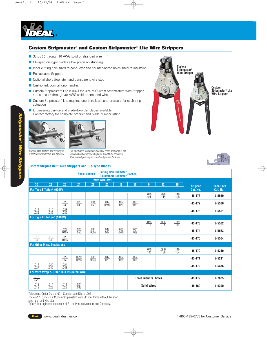

# **Custom Stripmaster® and Custom Stripmaster® Lite Wire Strippers**

- Strips 30 through 10 AWG solid or stranded wire
- Mil-spec die-type blades allow precision stripping
- Inner cutting hole sized to conductor and counter-bored holes sized to insulation
- Replaceable Grippers
- Optional short stop latch and transparent wire stop
- Cushioned, comfort grip handles
- Custom Stripmaster<sup>®</sup> Lite is 3/4's the size of Custom Stripmaster<sup>®</sup> Wire Stripper and strips 16 through 30 AWG solid or stranded wire
- Custom Stripmaster<sup>®</sup> Lite requires one-third less hand pressure for each strip actuation
- Engineering Service and made-to-order blades available. Contact factory for complete product and blade number listing.



Gripper pads hold the wire securely in a centerline relationship with the blade.

Die-type blades incorporate a counter-bored hole sized to the insulation and an inner cutting hole sized to the conductor. This varies depending on insulation type and thickness.

### **Custom Stripmaster** ® **Wire Strippers and Die-Type Blades**





|                     |                                           |                      |                       |                      | <b>Counterbore Diameter (Inches)</b><br><b>Wire Size AWG</b> |                      |                     |                              |                      |                     |                 |                   |
|---------------------|-------------------------------------------|----------------------|-----------------------|----------------------|--------------------------------------------------------------|----------------------|---------------------|------------------------------|----------------------|---------------------|-----------------|-------------------|
| 30                  | 28                                        | 26                   | 24                    | 22                   | 20                                                           | 18                   | 16                  | 14                           | 12                   | 10                  | <b>Stripper</b> | <b>Blade Only</b> |
|                     | For Type E Teflon <sup>®</sup> (600V)     |                      |                       |                      |                                                              |                      |                     |                              |                      |                     | Cat. No.        | Cat. No.          |
|                     |                                           |                      |                       |                      |                                                              |                      |                     | $\frac{.076}{.0935}$         | $\frac{.096}{.113}$  | $\frac{.119}{.136}$ | 45-176          | $L - 5559$        |
|                     |                                           | $\frac{.023}{.039}$  | $\frac{.028}{.043}$   | $\frac{.034}{.052}$  | $\frac{.042}{.0595}$                                         | $\frac{.052}{.070}$  | $\frac{.061}{.081}$ |                              |                      |                     | 45-177          | $L - 5560$        |
| $\frac{.016}{.032}$ | $\frac{.019}{.035}$                       | $\frac{.023}{.039}$  |                       |                      |                                                              |                      |                     |                              |                      |                     | 45-178          | $L - 5561$        |
|                     | For Type EE Teflon <sup>®</sup> (1000V)   |                      |                       |                      |                                                              |                      |                     |                              |                      |                     |                 |                   |
|                     |                                           |                      |                       |                      |                                                              |                      |                     | $\frac{.076}{.104}$          | $\frac{.096}{.125}$  | $\frac{.119}{.144}$ | 45-173          | $L - 5562$        |
|                     |                                           | $\frac{.023}{.0465}$ | $\frac{.028}{.055}$   | $\frac{.034}{.0595}$ | $\frac{.042}{.067}$                                          | $\frac{.052}{.0785}$ | $\frac{.061}{.089}$ |                              |                      |                     | 45-174          | L-5563            |
| $\frac{.016}{.042}$ | $\frac{.019}{.043}$                       | $\frac{.023}{.0465}$ |                       |                      |                                                              |                      |                     |                              |                      |                     | 45-175          | L-5564            |
|                     | <b>For Other Misc. Insulations</b>        |                      |                       |                      |                                                              |                      |                     |                              |                      |                     |                 |                   |
|                     |                                           |                      |                       |                      |                                                              |                      |                     | $\frac{.076}{.113}$          | $\frac{.0937}{.138}$ | $\frac{.116}{.154}$ | 45-170          | $L - 5210$        |
|                     |                                           | $\frac{.022}{.052}$  | $\frac{.0292}{.0595}$ | $\frac{.035}{.0635}$ | $\frac{.042}{.073}$                                          | $\frac{.052}{.086}$  | $\frac{.062}{.096}$ |                              |                      |                     | 45-171          | $L - 5211$        |
| $\frac{.016}{.037}$ | $\frac{.020}{.040}$                       | $\frac{.024}{.043}$  |                       |                      |                                                              |                      |                     |                              |                      |                     | 45-172          | $L - 5436$        |
|                     | For Wire Wrap & Other Thin Insulated Wire |                      |                       |                      |                                                              |                      |                     |                              |                      |                     |                 |                   |
| $\frac{.012}{.020}$ |                                           |                      |                       |                      |                                                              |                      |                     | <b>Three identical holes</b> |                      |                     | 45-179          | $L - 7625$        |
| $\frac{.012}{.019}$ | $\frac{.014}{.023}$                       | $\frac{.018}{.025}$  | $\frac{.024}{.033}$   |                      |                                                              |                      |                     | <b>Solid Wires</b>           |                      |                     | 45-169          | $L - 9300$        |

Tolerances: Cutter Dia.: ± .001; Counter-bore Dia.: ± .002

The 45-170 Series is a Custom Stripmaster® Wire Stripper frame without the short

stop latch and wire stop.

Teflon® is a registered trademark of E.I. du Pont de Nemours and Company.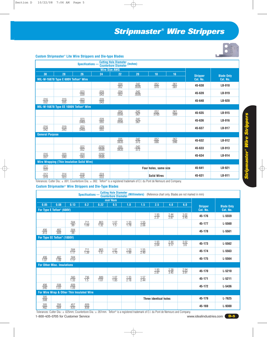# *Stripmaster® Wire Strippers*



#### **Custom Stripmaster** ® **Lite Wire Strippers and Die-type Blades**

|                        |                                                  | Specifications -                                   |                       | <b>Cutting Hole Diameter (Inches)</b><br><b>Counterbore Diameter</b> |                      |                       |                     |                 |                   |
|------------------------|--------------------------------------------------|----------------------------------------------------|-----------------------|----------------------------------------------------------------------|----------------------|-----------------------|---------------------|-----------------|-------------------|
|                        |                                                  |                                                    |                       | <b>Wire Size AWG</b>                                                 |                      |                       |                     |                 |                   |
| 30                     | 28                                               | 26                                                 | 24                    | 22                                                                   | 20                   | 18                    | 16                  | <b>Stripper</b> | <b>Blade Only</b> |
|                        | MIL-W-16878 Type E 600V Teflon <sup>®</sup> Wire |                                                    |                       |                                                                      |                      |                       |                     | Cat. No.        | Cat. No.          |
|                        |                                                  |                                                    |                       | $\frac{.034}{.052}$                                                  | $\frac{.042}{.0595}$ | $\frac{.052}{.070}$   | $\frac{.061}{.081}$ | 45-638          | LB-918            |
|                        |                                                  | $\frac{.023}{.039}$                                | $\frac{.028}{.043}$   | $\frac{.034}{.052}$                                                  | $\frac{.042}{.0595}$ |                       |                     | 45-639          | LB-919            |
| $\frac{.016}{.032}$    | $\frac{.019}{.035}$                              | $\frac{.023}{.039}$                                | $\frac{.028}{.043}$   |                                                                      |                      |                       |                     | 45-640          | <b>LB-920</b>     |
|                        |                                                  | MIL-W-16878 Type EE 1000V Teflon <sup>®</sup> Wire |                       |                                                                      |                      |                       |                     |                 |                   |
|                        |                                                  |                                                    |                       | $\frac{.034}{.0595}$                                                 | $\frac{.042}{.067}$  | $\frac{.052}{.0785}$  | $\frac{.061}{.089}$ | 45-635          | LB-915            |
|                        |                                                  | $\frac{.023}{.0465}$                               | $\frac{.028}{.055}$   | $\frac{.034}{.0595}$                                                 | $\frac{.042}{.067}$  |                       |                     | 45-636          | LB-916            |
| $\frac{.016}{.042}$    | $\frac{.019}{.043}$                              | $\frac{.023}{.0465}$                               | $\frac{.028}{.055}$   |                                                                      |                      |                       |                     | 45-637          | LB-917            |
| <b>General Purpose</b> |                                                  |                                                    |                       |                                                                      |                      |                       |                     |                 |                   |
|                        |                                                  |                                                    |                       | $\frac{.035}{.0635}$                                                 | $\frac{.042}{.073}$  | $\frac{.052}{.086}$   | $\frac{.062}{.096}$ | 45-632          | LB-912            |
|                        |                                                  | $\frac{.022}{.052}$                                | $\frac{.0292}{.0595}$ | $\frac{.035}{.0635}$                                                 | $\frac{.042}{.073}$  |                       |                     | 45-633          | LB-913            |
| $\frac{.016}{.037}$    | $\frac{.020}{.040}$                              | $\frac{.024}{.043}$                                | $\frac{.0292}{.0595}$ |                                                                      |                      |                       |                     | 45-634          | LB-914            |
|                        |                                                  | <b>Wire Wrapping (Thin Insulation Solid Wire)</b>  |                       |                                                                      |                      |                       |                     |                 |                   |
| $\frac{.012}{.020}$    |                                                  |                                                    |                       |                                                                      |                      | Four holes, same size |                     | 45-641          | LB-921            |
| $\frac{.012}{.019}$    | $\frac{.014}{.023}$                              | $\frac{.018}{.025}$                                | $\frac{.024}{.033}$   |                                                                      |                      | <b>Solid Wires</b>    |                     | 45-631          | LB-911            |

Tolerances: Cutter Dia.: ± .001; Counterbore Dia.: ± .002. Teflon® is a registered trademark of E.I. du Pont de Nemours and Company.

### **Custom Stripmaster** ® **Wire Strippers and Die-Type Blades**

| <b>Cutting Hole Diameter</b><br>(Millimeters) (Reference chart only. Blades are not marked in mm)<br>Specifications -<br><b>Counterbore Diameter</b> |                                         |                     |                                           |                     |                     |                     |                     |                              |                     |                     |                 |                   |
|------------------------------------------------------------------------------------------------------------------------------------------------------|-----------------------------------------|---------------------|-------------------------------------------|---------------------|---------------------|---------------------|---------------------|------------------------------|---------------------|---------------------|-----------------|-------------------|
| $mm2$ Nom                                                                                                                                            |                                         |                     |                                           |                     |                     |                     |                     |                              |                     |                     |                 |                   |
| 0.05                                                                                                                                                 | 0.08                                    | 0.13                | 0.2                                       | 0.22                | 0.5                 | 1.0                 | 1.5                 | 2.5                          | 4.0                 | 6.0                 | <b>Stripper</b> | <b>Blade Only</b> |
|                                                                                                                                                      | For Type E Teflon <sup>®</sup> (600V)   |                     |                                           |                     |                     |                     |                     |                              |                     |                     | Cat. No.        | Cat. No.          |
|                                                                                                                                                      |                                         |                     |                                           |                     |                     |                     |                     | $\frac{1.93}{2.37}$          | $\frac{2.44}{2.87}$ | $\frac{3.02}{3.45}$ | 45-176          | L-5559            |
|                                                                                                                                                      |                                         | $\frac{.584}{.99}$  | $\frac{.711}{1.09}$                       | $\frac{.863}{1.32}$ | $\frac{1.07}{1.5}$  | $\frac{1.33}{1.78}$ | $\frac{1.55}{2.06}$ |                              |                     |                     | 45-177          | L-5560            |
| $\frac{.406}{.813}$                                                                                                                                  | $\frac{.482}{.889}$                     | $\frac{.584}{.99}$  |                                           |                     |                     |                     |                     |                              |                     |                     | 45-178          | L-5561            |
|                                                                                                                                                      | For Type EE Teflon <sup>®</sup> (1000V) |                     |                                           |                     |                     |                     |                     |                              |                     |                     |                 |                   |
|                                                                                                                                                      |                                         |                     |                                           |                     |                     |                     |                     | $\frac{1.93}{2.64}$          | $\frac{2.44}{3.17}$ | $\frac{3.02}{3.6}$  | 45-173          | L-5562            |
|                                                                                                                                                      |                                         | $\frac{.584}{1.17}$ | $\frac{.711}{1.39}$                       | $\frac{.863}{1.5}$  | $\frac{1.07}{1.70}$ | $\frac{1.33}{1.99}$ | $\frac{1.55}{2.49}$ |                              |                     |                     | 45-174          | L-5563            |
| $\frac{.406}{1.07}$                                                                                                                                  | $\frac{.482}{1.09}$                     | $\frac{.584}{1.17}$ |                                           |                     |                     |                     |                     |                              |                     |                     | 45-175          | L-5564            |
|                                                                                                                                                      | <b>For Other Misc. Insulations</b>      |                     |                                           |                     |                     |                     |                     |                              |                     |                     |                 |                   |
|                                                                                                                                                      |                                         |                     |                                           |                     |                     |                     |                     | $\frac{1.93}{2.87}$          | $\frac{2.38}{3.45}$ | $\frac{2.94}{3.91}$ | 45-170          | $L - 5210$        |
|                                                                                                                                                      |                                         | $\frac{.560}{1.33}$ | $\frac{.736}{1.5}$                        | $\frac{.889}{1.61}$ | $\frac{1.07}{1.85}$ | $\frac{1.33}{2.18}$ | $\frac{1.57}{2.44}$ |                              |                     |                     | 45-171          | $L - 5211$        |
| $\frac{.406}{.940}$                                                                                                                                  | $\frac{.508}{1.01}$                     | $\frac{.609}{1.09}$ |                                           |                     |                     |                     |                     |                              |                     |                     | 45-172          | L-5436            |
|                                                                                                                                                      |                                         |                     | For Wire Wrap & Other Thin Insulated Wire |                     |                     |                     |                     |                              |                     |                     |                 |                   |
| $\frac{.305}{.508}$                                                                                                                                  |                                         |                     |                                           |                     |                     |                     |                     | <b>Three identical holes</b> |                     |                     | 45-179          | $L-7625$          |
| $\frac{.305}{.482}$                                                                                                                                  | $\frac{.356}{.584}$                     | $\frac{.457}{.635}$ | $\frac{.609}{.838}$                       |                     |                     |                     |                     |                              |                     |                     | 45-169          | L-9300            |

1-800-435-0705 for Customer Service www.idealindustries.com **D-5** Tolerances: Cutter Dia.: ± .025mm; Counterbore Dia.: ± .051mm. Teflon® is a registered trademark of E.I. du Pont de Nemours and Company.

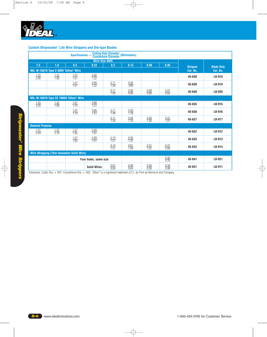

### **Custom Stripmaster**® **Lite Wire Strippers and Die-type Blades**

| <b>Cutting Hole Diameter (Millimeters)</b><br>Counterbore Diameter (Millimeters)<br>Specifications -<br><b>Wire Size AWG</b> |                                                  |                                                    |                       |                     |                      |                     |                     |                             |                               |
|------------------------------------------------------------------------------------------------------------------------------|--------------------------------------------------|----------------------------------------------------|-----------------------|---------------------|----------------------|---------------------|---------------------|-----------------------------|-------------------------------|
| 0,13<br>0.22<br>0,2<br>0,05<br>1,5<br>1,0<br>0,5<br>0,08                                                                     |                                                  |                                                    |                       |                     |                      |                     |                     |                             |                               |
|                                                                                                                              | MIL-W-16878 Type E 600V Teflon <sup>®</sup> Wire |                                                    |                       |                     |                      |                     |                     | <b>Stripper</b><br>Cat. No. | <b>Blade Only</b><br>Cat. No. |
| $\frac{1,55}{2,06}$                                                                                                          | $\frac{1,32}{1,99}$                              | $\frac{1.07}{1.51}$                                | $\frac{0.86}{1.32}$   |                     |                      |                     |                     | 45-638                      | LB-918                        |
|                                                                                                                              |                                                  | $\frac{1,07}{1,51}$                                | $\frac{0.86}{1.32}$   | $\frac{0,71}{1,09}$ | $\frac{0.58}{0.099}$ |                     |                     | 45-639                      | LB-919                        |
|                                                                                                                              |                                                  |                                                    |                       | $\frac{0,71}{1,09}$ | $\frac{0.58}{0.99}$  | $\frac{0.48}{0.89}$ | $\frac{0.41}{0.82}$ | 45-640                      | <b>LB-920</b>                 |
|                                                                                                                              |                                                  | MIL-W-16878 Type EE 1000V Teflon <sup>®</sup> Wire |                       |                     |                      |                     |                     |                             |                               |
| $\frac{1,55}{2,26}$                                                                                                          | $\frac{1.32}{1.99}$                              | $\frac{1,07}{1,70}$                                | $\frac{0.86}{1,51}$   |                     |                      |                     |                     | 45-635                      | LB-915                        |
|                                                                                                                              |                                                  | $\frac{1,07}{1,70}$                                | $\frac{0.86}{1.51}$   | $\frac{0,71}{1,40}$ | $\frac{0.58}{1.18}$  |                     |                     | 45-636                      | LB-916                        |
|                                                                                                                              |                                                  |                                                    |                       | $\frac{0,71}{1,40}$ | $\frac{0.58}{1.18}$  | $\frac{0.48}{1.09}$ | $\frac{0.41}{1.07}$ | 45-637                      | LB-917                        |
| <b>General Purpose</b>                                                                                                       |                                                  |                                                    |                       |                     |                      |                     |                     |                             |                               |
| $\frac{1,57}{2,44}$                                                                                                          | $\frac{1,32}{2,18}$                              | $\frac{1,07}{1,85}$                                | $\frac{0.89}{1.61}$   |                     |                      |                     |                     | 45-632                      | LB-912                        |
|                                                                                                                              |                                                  | $\frac{1.07}{1.85}$                                | $\frac{0.89}{1.61}$   | $\frac{0,74}{1,51}$ | $\frac{0.56}{1.32}$  |                     |                     | 45-633                      | LB-913                        |
|                                                                                                                              |                                                  |                                                    |                       | $\frac{0,74}{1,51}$ | $\frac{0.61}{1.09}$  | $\frac{0.51}{1.02}$ | $\frac{0.41}{0.86}$ | 45-634                      | LB-914                        |
|                                                                                                                              |                                                  | <b>Wire Wrapping (Thin Insulation Solid Wire)</b>  |                       |                     |                      |                     |                     |                             |                               |
|                                                                                                                              |                                                  |                                                    | Four holes, same size |                     |                      |                     | $\frac{0.30}{0.76}$ | 45-641                      | LB-921                        |
|                                                                                                                              |                                                  |                                                    | <b>Solid Wires</b>    | $\frac{0.61}{0.84}$ | $\frac{0.46}{0.64}$  | $\frac{0.36}{0.58}$ | $\frac{0.30}{0.48}$ | 45-631                      | LB-911                        |

Tolerances: Cutter Dia.: ± .001; Counterbore Dia.: ± .002. Teflon® is a registered trademark of E.I. du Pont de Nemours and Company.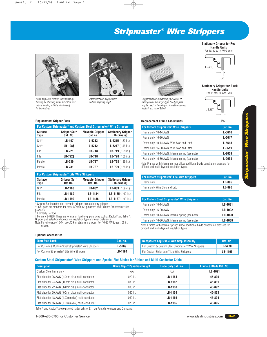# *Stripmaster® Wire Strippers*



Short-stop Latch protects wire strands by limiting the stripping stroke to 5/32 in. and retains the slug until the wire is ready for terminating.





Transparent wire stop provides uniform stripping length.



Gripper Pads are available in your choice of either parallel, file or grit-type. File-type pads may be used on hard-to-grip insulations such as Kapton® and some Teflon®.



**Stationary Gripper for Red Handle Units** For 10, 12 & 14 AWG Wire

**Stationary Gripper for Black Handle Units** For 16 thru 30 AWG wire.



### **Replacement Frame Assemblies**

| For Custom Stripmaster <sup>®</sup> Wire Strippers                                 | Cat. No.   |
|------------------------------------------------------------------------------------|------------|
| Frame only, 10-14 AWG                                                              | $L - 5616$ |
| Frame only, 16-30 AWG                                                              | $L - 5617$ |
| Frame only, 10-14 AWG, Wire Stop and Latch                                         | $L - 5618$ |
| Frame only, 16-30 AWG, Wire Stop and Latch                                         | $L - 5619$ |
| Frame only, 10-14 AWG, internal spring (see note)                                  | L-9039     |
| Frame only, 16-30 AWG, internal spring (see note)                                  | $L - 9038$ |
| Note: Frames with internal springs allow additional blade penetration pressure for |            |

difficult and multi-layered insulation types.

| For Custom Stripmaster <sup>®</sup> Lite Wire Strippers | Cat. No. |
|---------------------------------------------------------|----------|
| Frame only                                              | LB-895   |
| Frame only, Wire Stop and Latch                         | LB-896   |

| For Custom Steel Stripmaster <sup>®</sup> Wire Strippers | Cat. No. |
|----------------------------------------------------------|----------|
| Frame only, 10-14 AWG                                    | LB-1091  |
| Frame only, 16-30 AWG                                    | LB-1092  |
| Frame only, 10-14 AWG, internal spring (see note)        | LB-1090  |
| Frame only, 16-30 AWG, internal spring (see note)        | LB-1089  |

Note: Frames with internal springs allow additional blade penetration pressure for difficult and multi-layered insulation types.

| <b>Transparent Adjustable Wire Stop Assembly</b>                  | Cat. No. |
|-------------------------------------------------------------------|----------|
| For Custom & Custom Steel Stripmaster <sup>®</sup> Wire Strippers | L-5270   |
| For Custom Stripmaster® Lite Wire Strippers                       | LB-1195  |

### **Custom Steel Stripmaster**® **Wire Strippers and Special Flat-Blades for Ribbon and Multi-Conductor Cable**

| <b>Description</b>                                  | <b>Blade Gap ("x") vertical height</b> | <b>Blade Only Cat. No.</b> | <b>Frame &amp; Blade Cat. No.</b> |
|-----------------------------------------------------|----------------------------------------|----------------------------|-----------------------------------|
| Custom Steel frame only                             | N/A                                    | N/A                        | LB-1091                           |
| Flat blade for 26 AWG (.40mm dia.) multi-conductor  | $.022$ in.                             | LB-1151                    | 45-890                            |
| Flat blade for 24 AWG (.00mm dia.) multi-conductor  | .030 in.                               | LB-1152                    | 45-891                            |
| Flat blade for 22 AWG (.64mm dia.) multi-conductor  | .038 in.                               | LB-1153                    | 45-892                            |
| Flat blade for 20 AWG (.00mm dia.) multi-conductor  | .050 in.                               | LB-1154                    | 45-893                            |
| Flat blade for 18 AWG (1.02mm dia.) multi-conductor | $.060$ in.                             | LB-1155                    | 45-894                            |
| Flat blade for 16 AWG (1.29mm dia.) multi-conductor | .075 in.                               | LB-1156                    | 45-895                            |

Teflon® and Kapton® are registered trademarks of E. I. du Pont de Nemours and Company.

|                        | <u>. 6. aastani ambinaata. Miin aastani ataal ambinaata.  1.110 ambbala</u> |                                   |                                          |  |  |  |  |  |
|------------------------|-----------------------------------------------------------------------------|-----------------------------------|------------------------------------------|--|--|--|--|--|
| <b>Surface</b><br>Type | Gripper Set*<br>Cat. No.                                                    | <b>Movable Gripper</b><br>Cat No. | <b>Stationary Gripper</b><br>(Thickness) |  |  |  |  |  |
| Grit**                 | LB-197                                                                      | $L - 5212$                        | $L-5215$ (.129 in.)                      |  |  |  |  |  |
| Grit**                 | LB-198 <sup>+</sup>                                                         | $L - 5212$                        | $L-5217$ (.156 in.)                      |  |  |  |  |  |
| File                   | LB-721                                                                      | LB-718                            | LB-719 (.129 in.)                        |  |  |  |  |  |
| File                   | LB-722‡                                                                     | LB-718                            | LB-720 $(.156$ in.)                      |  |  |  |  |  |
| Parallel               | LB-730                                                                      | LB-727                            | LB-728 (.129 in.)                        |  |  |  |  |  |
| Parallel               | LB-731                                                                      | LB-727                            | LB-729 (.156 in.)                        |  |  |  |  |  |

### **For Custom Stripmaster® Lite Wire Strippers**

| <b>Surface</b><br>Type | Gripper Set*<br>Cat No. | <b>Movable Gripper</b><br>Cat. No. | <b>Stationary Gripper</b><br>(Thickness) |
|------------------------|-------------------------|------------------------------------|------------------------------------------|
| Grit*                  | LB-1188                 | LB-882                             | LB-883 $(.109 \text{ in.})$              |
| File                   | LB-1189                 | LB-1184                            | <b>LB-1185</b> $(.109 \text{ in.})$      |
| Parallel               | LB-1190                 | LB-1186                            | <b>LB-1187</b> $(.109 \text{ in.})$      |
| .<br>.                 | .                       |                                    |                                          |

\* Gripper Set includes one movable gripper, one stationary gripper.

\*\* Grit pads are standard for most Custom Stripmaster® and Custom Stripmaster® Lite products.

† Formerly L-7954

‡ Formerly L-8928. These are for use on hard-to-grip surfaces such as Kapton® and Teflon®. Gripper pad selection depends on insulation type and user preference.

Note: For wire gauge 10-14, use .129 in. stationary gripper. For 16-30 AWG, use .156 in. gripper.

#### **Optional Accessories**

| Short Stop Latch                                                  | Cat. No. |
|-------------------------------------------------------------------|----------|
| For Custom & Custom Steel Stripmaster <sup>®</sup> Wire Strippers | L-5269   |
| For Custom Stripmaster <sup>®</sup> Lite Wire Strippers           | LB-1194  |

www.idealindustries.com **D-7**